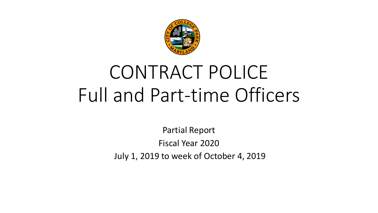

## CONTRACT POLICE Full and Part-time Officers

Partial Report Fiscal Year 2020 July 1, 2019 to week of October 4, 2019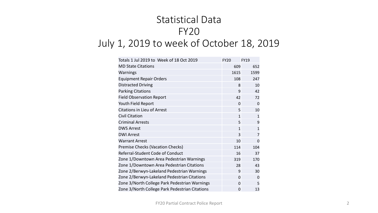## Statistical Data FY20 July 1, 2019 to week of October 18, 2019

| Totals 1 Jul 2019 to Week of 18 Oct 2019       | <b>FY20</b>  | <b>FY19</b>    |
|------------------------------------------------|--------------|----------------|
| <b>MD State Citations</b>                      | 609          | 652            |
| Warnings                                       | 1615         | 1599           |
| <b>Equipment Repair Orders</b>                 | 108          | 247            |
| <b>Distracted Driving</b>                      | 8            | 10             |
| <b>Parking Citations</b>                       | 9            | 42             |
| <b>Field Observation Report</b>                | 42           | 72             |
| Youth Field Report                             | $\Omega$     | 0              |
| <b>Citations in Lieu of Arrest</b>             | 5            | 10             |
| <b>Civil Citation</b>                          | $\mathbf{1}$ | $\mathbf{1}$   |
| <b>Criminal Arrests</b>                        | 5            | 9              |
| <b>DWS Arrest</b>                              | $\mathbf{1}$ | $\overline{1}$ |
| <b>DWI Arrest</b>                              | 3            | $\overline{7}$ |
| <b>Warrant Arrest</b>                          | 10           | 0              |
| Premise Checks (Vacation Checks)               | 114          | 104            |
| Referral-Student Code of Conduct               | 16           | 37             |
| Zone 1/Downtown Area Pedestrian Warnings       | 319          | 170            |
| Zone 1/Downtown Area Pedestrian Citations      | 28           | 43             |
| Zone 2/Berwyn-Lakeland Pedestrian Warnings     | 9            | 30             |
| Zone 2/Berwyn-Lakeland Pedestrian Citations    | $\Omega$     | $\mathbf 0$    |
| Zone 3/North College Park Pedestrian Warnings  | 0            | 5              |
| Zone 3/North College Park Pedestrian Citations | 0            | 13             |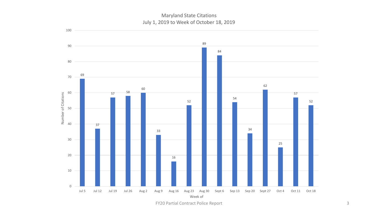Maryland State Citations July 1, 2019 to Week of October 18, 2019



FY20 Partial Contract Police Report 3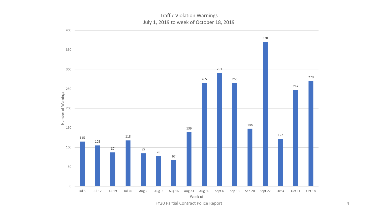Traffic Violation Warnings July 1, 2019 to week of October 18, 2019



FY20 Partial Contract Police Report 4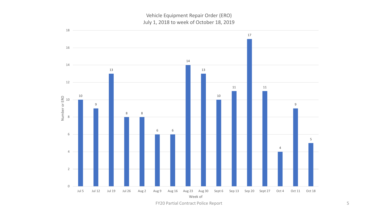Vehicle Equipment Repair Order (ERO) July 1, 2018 to week of October 18, 2019



FY20 Partial Contract Police Report 5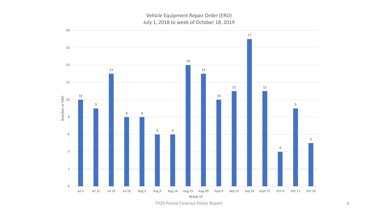Vehicle Equipment Repair Order (ERO) July 1, 2018 to week of October 18, 2019



FY20 Partial Contract Police Report 6 6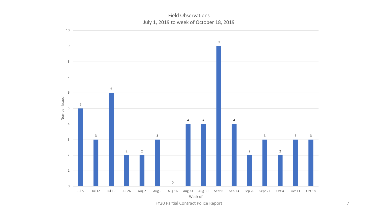Field Observations July 1, 2019 to week of October 18, 2019



FY20 Partial Contract Police Report 7 and 7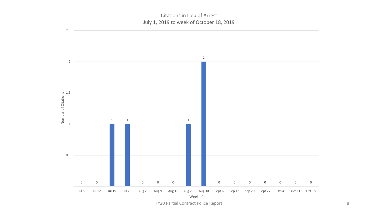## Citations in Lieu of Arrest July 1, 2019 to week of October 18, 2019

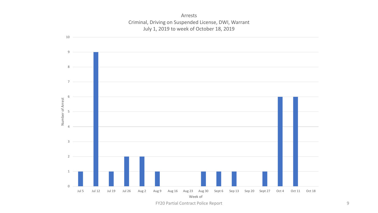Arrests Criminal, Driving on Suspended License, DWI, Warrant July 1, 2019 to week of October 18, 2019



FY20 Partial Contract Police Report 9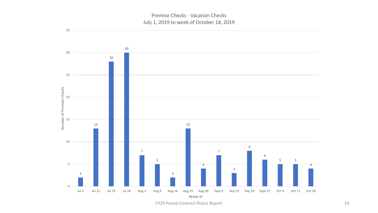Premise Checks - Vacation Checks July 1, 2019 to week of October 18, 2019



FY20 Partial Contract Police Report 10 and 20 and 20 and 20 and 20 and 20 and 20 and 20 and 20 and 20 and 20 and 20 and 20 and 20 and 20 and 20 and 20 and 20 and 20 and 20 and 20 and 20 and 20 and 20 and 20 and 20 and 20 a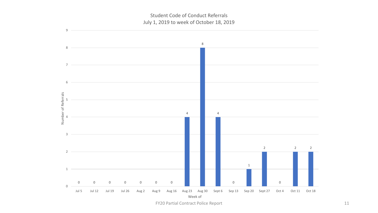Student Code of Conduct Referrals July 1, 2019 to week of October 18, 2019